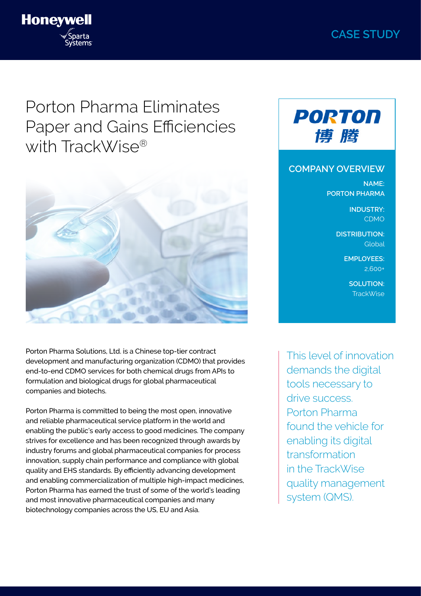# **CASE STUDY**



# Porton Pharma Eliminates Paper and Gains Efficiencies with TrackWise®



Porton Pharma Solutions, Ltd. is a Chinese top-tier contract development and manufacturing organization (CDMO) that provides end-to-end CDMO services for both chemical drugs from APIs to formulation and biological drugs for global pharmaceutical companies and biotechs.

Porton Pharma is committed to being the most open, innovative and reliable pharmaceutical service platform in the world and enabling the public's early access to good medicines. The company strives for excellence and has been recognized through awards by industry forums and global pharmaceutical companies for process innovation, supply chain performance and compliance with global quality and EHS standards. By efficiently advancing development and enabling commercialization of multiple high-impact medicines, Porton Pharma has earned the trust of some of the world's leading and most innovative pharmaceutical companies and many biotechnology companies across the US, EU and Asia.



#### **COMPANY OVERVIEW**

**NAME: PORTON PHARMA** 

> **INDUSTRY:** CDMO

**DISTRIBUTION: Global** 

> **EMPLOYEES:** 2,600+

> > **SOLUTION:**  TrackWise

This level of innovation demands the digital tools necessary to drive success. Porton Pharma found the vehicle for enabling its digital transformation in the TrackWise quality management system (QMS).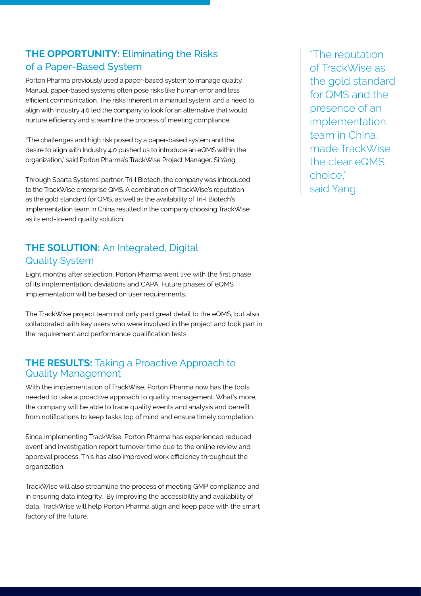### **THE OPPORTUNITY:** Eliminating the Risks of a Paper-Based System

Porton Pharma previously used a paper-based system to manage quality. Manual, paper-based systems often pose risks like human error and less efficient communication. The risks inherent in a manual system, and a need to align with Industry 4.0 led the company to look for an alternative that would nurture efficiency and streamline the process of meeting compliance.

"The challenges and high risk posed by a paper-based system and the desire to align with Industry 4.0 pushed us to introduce an eQMS within the organization," said Porton Pharma's TrackWise Project Manager, Si Yang.

Through Sparta Systems' partner, Tri-I Biotech, the company was introduced to the TrackWise enterprise QMS. A combination of TrackWise's reputation as the gold standard for QMS, as well as the availability of Tri-I Biotech's implementation team in China resulted in the company choosing TrackWise as its end-to-end quality solution.

## **THE SOLUTION:** An Integrated, Digital Quality System

Eight months after selection, Porton Pharma went live with the first phase of its implementation, deviations and CAPA. Future phases of eQMS implementation will be based on user requirements.

The TrackWise project team not only paid great detail to the eQMS, but also collaborated with key users who were involved in the project and took part in the requirement and performance qualification tests.

#### **THE RESULTS:** Taking a Proactive Approach to Quality Management

With the implementation of TrackWise, Porton Pharma now has the tools needed to take a proactive approach to quality management. What's more, the company will be able to trace quality events and analysis and benefit from notifications to keep tasks top of mind and ensure timely completion.

Since implementing TrackWise, Porton Pharma has experienced reduced event and investigation report turnover time due to the online review and approval process. This has also improved work efficiency throughout the organization.

TrackWise will also streamline the process of meeting GMP compliance and in ensuring data integrity. By improving the accessibility and availability of data, TrackWise will help Porton Pharma align and keep pace with the smart factory of the future.

"The reputation of TrackWise as the gold standard for QMS and the presence of an implementation team in China, made TrackWise the clear eQMS choice," said Yang.